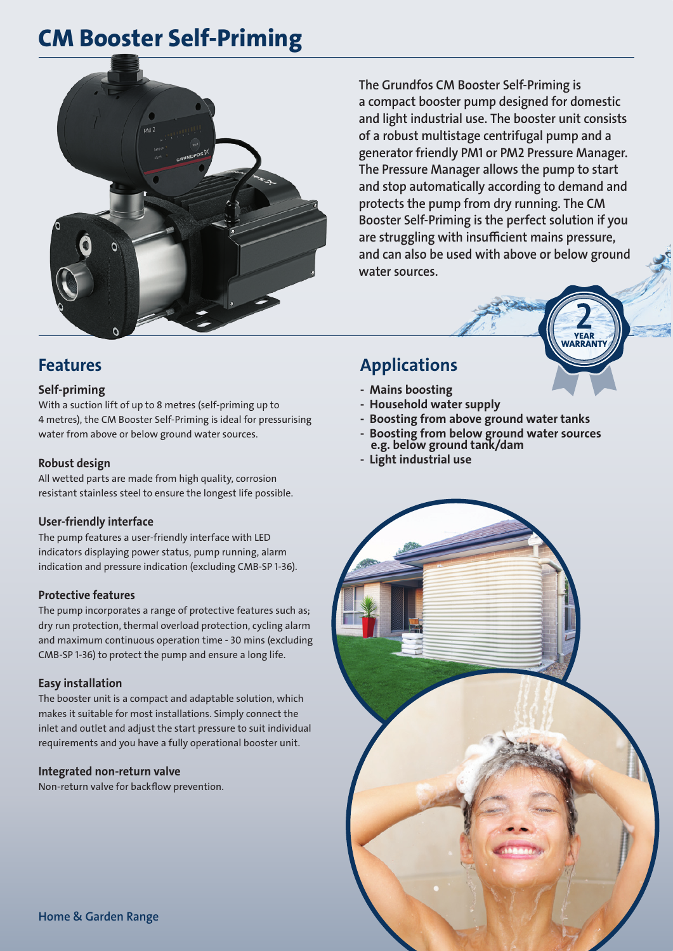# CM Booster Self-Priming



The Grundfos CM Booster Self-Priming is a compact booster pump designed for domestic and light industrial use. The booster unit consists of a robust multistage centrifugal pump and a generator friendly PM1 or PM2 Pressure Manager. The Pressure Manager allows the pump to start and stop automatically according to demand and protects the pump from dry running. The CM Booster Self-Priming is the perfect solution if you are struggling with insufficient mains pressure, and can also be used with above or below ground water sources.



### Self-priming

With a suction lift of up to 8 metres (self-priming up to 4 metres), the CM Booster Self-Priming is ideal for pressurising water from above or below ground water sources.

### Robust design

All wetted parts are made from high quality, corrosion resistant stainless steel to ensure the longest life possible.

### User-friendly interface

The pump features a user-friendly interface with LED indicators displaying power status, pump running, alarm indication and pressure indication (excluding CMB-SP 1-36).

#### Protective features

The pump incorporates a range of protective features such as; dry run protection, thermal overload protection, cycling alarm and maximum continuous operation time - 30 mins (excluding CMB-SP 1-36) to protect the pump and ensure a long life.

#### Easy installation

The booster unit is a compact and adaptable solution, which makes it suitable for most installations. Simply connect the inlet and outlet and adjust the start pressure to suit individual requirements and you have a fully operational booster unit.

#### Integrated non-return valve

Non-return valve for backflow prevention.

### Applications

- Mains boosting
- Household water supply
- Boosting from above ground water tanks
- Boosting from below ground water sources e.g. below ground tank/dam
- Light industrial use